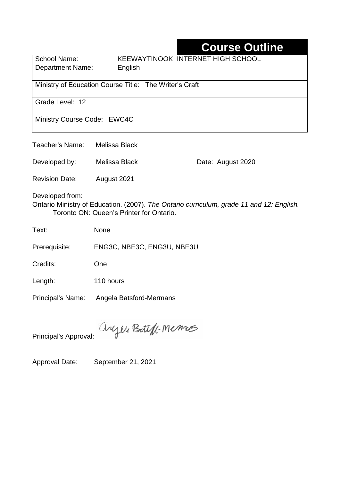# **Course Outline**

School Name: KEEWAYTINOOK INTERNET HIGH SCHOOL Department Name:English

Ministry of Education Course Title: The Writer's Craft

Grade Level: 12

Ministry Course Code: EWC4C

Teacher's Name: Melissa Black

Developed by: Melissa Black Date: August 2020

Revision Date: August 2021

Developed from:

Ontario Ministry of Education. (2007). *The Ontario curriculum, grade 11 and 12: English.*  Toronto ON: Queen's Printer for Ontario.

Text: None

Prerequisite: ENG3C, NBE3C, ENG3U, NBE3U

Credits: One

Length: 110 hours

Principal's Name: Angela Batsford-Mermans

anyen Boteff-Memos

Principal's Approval:

Approval Date: September 21, 2021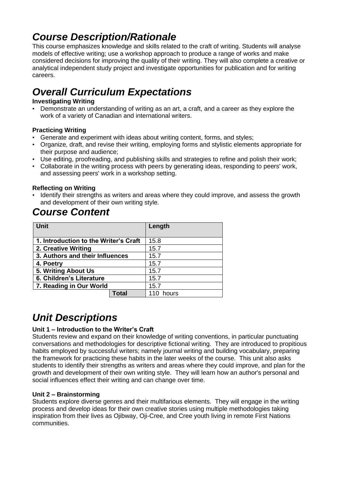# *Course Description/Rationale*

This course emphasizes knowledge and skills related to the craft of writing. Students will analyse models of effective writing; use a workshop approach to produce a range of works and make considered decisions for improving the quality of their writing. They will also complete a creative or analytical independent study project and investigate opportunities for publication and for writing careers.

# *Overall Curriculum Expectations*

#### **Investigating Writing**

• Demonstrate an understanding of writing as an art, a craft, and a career as they explore the work of a variety of Canadian and international writers.

#### **Practicing Writing**

- Generate and experiment with ideas about writing content, forms, and styles;
- Organize, draft, and revise their writing, employing forms and stylistic elements appropriate for their purpose and audience;
- Use editing, proofreading, and publishing skills and strategies to refine and polish their work;
- Collaborate in the writing process with peers by generating ideas, responding to peers' work, and assessing peers' work in a workshop setting.

#### **Reflecting on Writing**

• Identify their strengths as writers and areas where they could improve, and assess the growth and development of their own writing style.

## *Course Content*

| <b>Unit</b>                           |       | Length |
|---------------------------------------|-------|--------|
| 1. Introduction to the Writer's Craft |       | 15.8   |
| 2. Creative Writing                   |       | 15.7   |
| 3. Authors and their Influences       |       | 15.7   |
| 4. Poetry                             |       | 15.7   |
| 5. Writing About Us                   |       | 15.7   |
| 6. Children's Literature              |       | 15.7   |
| 7. Reading in Our World               |       | 15.7   |
|                                       | Total | hours  |

## *Unit Descriptions*

#### **Unit 1 – Introduction to the Writer's Craft**

Students review and expand on their knowledge of writing conventions, in particular punctuating conversations and methodologies for descriptive fictional writing. They are introduced to propitious habits employed by successful writers; namely journal writing and building vocabulary, preparing the framework for practicing these habits in the later weeks of the course. This unit also asks students to identify their strengths as writers and areas where they could improve, and plan for the growth and development of their own writing style. They will learn how an author's personal and social influences effect their writing and can change over time.

#### **Unit 2 – Brainstorming**

Students explore diverse genres and their multifarious elements. They will engage in the writing process and develop ideas for their own creative stories using multiple methodologies taking inspiration from their lives as Ojibway, Oji-Cree, and Cree youth living in remote First Nations communities.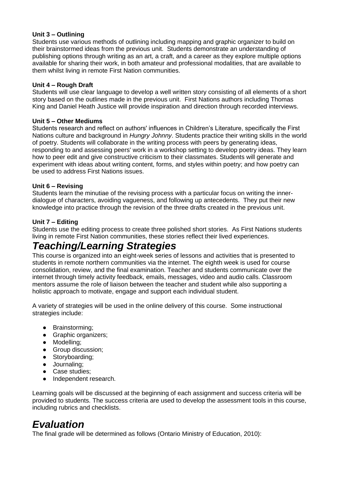#### **Unit 3 – Outlining**

Students use various methods of outlining including mapping and graphic organizer to build on their brainstormed ideas from the previous unit. Students demonstrate an understanding of publishing options through writing as an art, a craft, and a career as they explore multiple options available for sharing their work, in both amateur and professional modalities, that are available to them whilst living in remote First Nation communities.

#### **Unit 4 – Rough Draft**

Students will use clear language to develop a well written story consisting of all elements of a short story based on the outlines made in the previous unit. First Nations authors including Thomas King and Daniel Heath Justice will provide inspiration and direction through recorded interviews.

#### **Unit 5 – Other Mediums**

Students research and reflect on authors' influences in Children's Literature, specifically the First Nations culture and background in *Hungry Johnny*. Students practice their writing skills in the world of poetry. Students will collaborate in the writing process with peers by generating ideas, responding to and assessing peers' work in a workshop setting to develop poetry ideas. They learn how to peer edit and give constructive criticism to their classmates. Students will generate and experiment with ideas about writing content, forms, and styles within poetry; and how poetry can be used to address First Nations issues.

#### **Unit 6 – Revising**

Students learn the minutiae of the revising process with a particular focus on writing the innerdialogue of characters, avoiding vagueness, and following up antecedents. They put their new knowledge into practice through the revision of the three drafts created in the previous unit.

#### **Unit 7 – Editing**

Students use the editing process to create three polished short stories. As First Nations students living in remote First Nation communities, these stories reflect their lived experiences.

### *Teaching/Learning Strategies*

This course is organized into an eight-week series of lessons and activities that is presented to students in remote northern communities via the internet. The eighth week is used for course consolidation, review, and the final examination. Teacher and students communicate over the internet through timely activity feedback, emails, messages, video and audio calls. Classroom mentors assume the role of liaison between the teacher and student while also supporting a holistic approach to motivate, engage and support each individual student.

A variety of strategies will be used in the online delivery of this course. Some instructional strategies include:

- Brainstorming;
- Graphic organizers;
- Modelling;
- Group discussion;
- Storyboarding;
- Journaling;
- Case studies:
- Independent research.

Learning goals will be discussed at the beginning of each assignment and success criteria will be provided to students. The success criteria are used to develop the assessment tools in this course, including rubrics and checklists.

### *Evaluation*

The final grade will be determined as follows (Ontario Ministry of Education, 2010):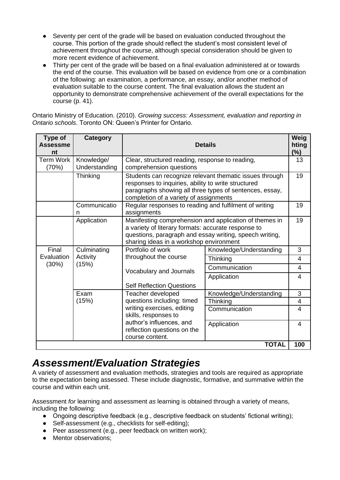- Seventy per cent of the grade will be based on evaluation conducted throughout the course. This portion of the grade should reflect the student's most consistent level of achievement throughout the course, although special consideration should be given to more recent evidence of achievement.
- Thirty per cent of the grade will be based on a final evaluation administered at or towards the end of the course. This evaluation will be based on evidence from one or a combination of the following: an examination, a performance, an essay, and/or another method of evaluation suitable to the course content. The final evaluation allows the student an opportunity to demonstrate comprehensive achievement of the overall expectations for the course (p. 41).

Ontario Ministry of Education. (2010). *Growing success: Assessment, evaluation and reporting in Ontario schools*. Toronto ON: Queen's Printer for Ontario.

| Type of<br><b>Assessme</b><br>nt                                                  | Category                    | <b>Details</b>                                                                                                                                                                                                      |                         | Weig<br>hting<br>$(\% )$ |
|-----------------------------------------------------------------------------------|-----------------------------|---------------------------------------------------------------------------------------------------------------------------------------------------------------------------------------------------------------------|-------------------------|--------------------------|
| <b>Term Work</b><br>(70%)                                                         | Knowledge/<br>Understanding | Clear, structured reading, response to reading,<br>comprehension questions                                                                                                                                          |                         | 13                       |
|                                                                                   | Thinking                    | Students can recognize relevant thematic issues through<br>responses to inquiries, ability to write structured<br>paragraphs showing all three types of sentences, essay,<br>completion of a variety of assignments |                         |                          |
|                                                                                   | Communicatio<br>n           | Regular responses to reading and fulfilment of writing<br>assignments                                                                                                                                               |                         |                          |
|                                                                                   | Application                 | Manifesting comprehension and application of themes in<br>a variety of literary formats: accurate response to<br>questions, paragraph and essay writing, speech writing,<br>sharing ideas in a workshop environment |                         | 19                       |
| Final<br>Culminating<br>Evaluation<br>Activity<br>(15%)<br>(30%)<br>Exam<br>(15%) |                             | Portfolio of work                                                                                                                                                                                                   | Knowledge/Understanding | 3                        |
|                                                                                   |                             | throughout the course                                                                                                                                                                                               | Thinking                | 4                        |
|                                                                                   |                             | Vocabulary and Journals                                                                                                                                                                                             | Communication           | 4                        |
|                                                                                   |                             | <b>Self Reflection Questions</b>                                                                                                                                                                                    | Application             | 4                        |
|                                                                                   |                             | Teacher developed                                                                                                                                                                                                   | Knowledge/Understanding | 3                        |
|                                                                                   |                             | questions including: timed                                                                                                                                                                                          | Thinking                | 4                        |
|                                                                                   |                             | writing exercises, editing<br>skills, responses to                                                                                                                                                                  | Communication           | $\overline{\mathcal{A}}$ |
|                                                                                   |                             | author's influences, and<br>reflection questions on the<br>course content.                                                                                                                                          | Application             | 4                        |
|                                                                                   |                             |                                                                                                                                                                                                                     | <b>TOTAL</b>            | 100                      |

## *Assessment/Evaluation Strategies*

A variety of assessment and evaluation methods, strategies and tools are required as appropriate to the expectation being assessed. These include diagnostic, formative, and summative within the course and within each unit.

Assessment *for* learning and assessment *as* learning is obtained through a variety of means, including the following:

- Ongoing descriptive feedback (e.g., descriptive feedback on students' fictional writing);
- Self-assessment (e.g., checklists for self-editing);
- Peer assessment (e.g., peer feedback on written work);
- Mentor observations;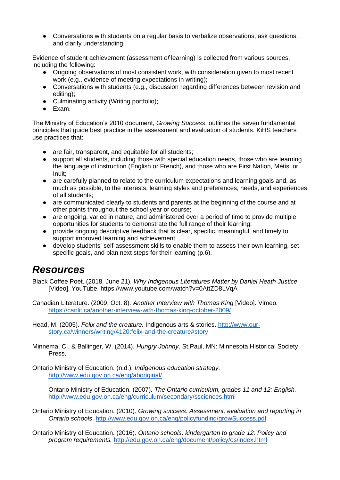● Conversations with students on a regular basis to verbalize observations, ask questions, and clarify understanding.

Evidence of student achievement (assessment *of* learning) is collected from various sources, including the following:

- Ongoing observations of most consistent work, with consideration given to most recent work (e.g., evidence of meeting expectations in writing);
- Conversations with students (e.g., discussion regarding differences between revision and editing);
- Culminating activity (Writing portfolio);
- Exam.

The Ministry of Education's 2010 document, *Growing Success*, outlines the seven fundamental principles that guide best practice in the assessment and evaluation of students. KiHS teachers use practices that:

- are fair, transparent, and equitable for all students;
- support all students, including those with special education needs, those who are learning the language of instruction (English or French), and those who are First Nation, Métis, or Inuit;
- are carefully planned to relate to the curriculum expectations and learning goals and, as much as possible, to the interests, learning styles and preferences, needs, and experiences of all students;
- are communicated clearly to students and parents at the beginning of the course and at other points throughout the school year or course;
- are ongoing, varied in nature, and administered over a period of time to provide multiple opportunities for students to demonstrate the full range of their learning;
- provide ongoing descriptive feedback that is clear, specific, meaningful, and timely to support improved learning and achievement;
- develop students' self-assessment skills to enable them to assess their own learning, set specific goals, and plan next steps for their learning (p.6).

### *Resources*

Black Coffee Poet. (2018, June 21). *Why Indigenous Literatures Matter by Daniel Heath Justice* [Video]. YouTube. https://www.youtube.com/watch?v=0AttZD8LVqA

Canadian Literature. (2009, Oct. 8). *Another Interview with Thomas King* [Video]. Vimeo. <https://canlit.ca/another-interview-with-thomas-king-october-2009/>

Head, M. (2005). *Felix and the creature.* Indigenous arts & stories. [http://www.our](http://www.our-story.ca/winners/writing/4120:felix-and-the-creature#story)[story.ca/winners/writing/4120:felix-and-the-creature#story](http://www.our-story.ca/winners/writing/4120:felix-and-the-creature#story)

Minnema, C., & Ballinger, W. (2014). *Hungry Johnny*. St.Paul, MN: Minnesota Historical Society Press.

Ontario Ministry of Education. (n.d.). *Indigenous education strategy.* <http://www.edu.gov.on.ca/eng/aboriginal/>

Ontario Ministry of Education. (2007). *The Ontario curriculum, grades 11 and 12: English.*  <http://www.edu.gov.on.ca/eng/curriculum/secondary/ssciences.html>

Ontario Ministry of Education. (2010). *Growing success: Assessment, evaluation and reporting in Ontario schools*.<http://www.edu.gov.on.ca/eng/policyfunding/growSuccess.pdf>

Ontario Ministry of Education. (2016). *Ontario schools, kindergarten to grade 12: Policy and program requirements.* <http://edu.gov.on.ca/eng/document/policy/os/index.html>